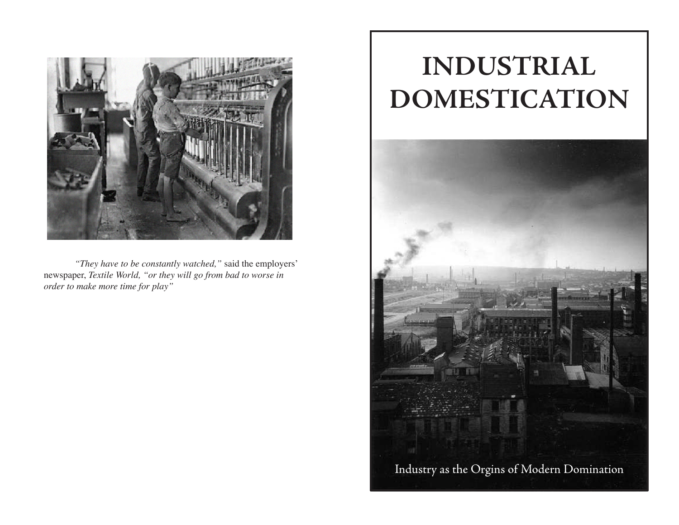

 *"They have to be constantly watched,"* said the employers' newspaper, *Textile World, "or they will go from bad to worse in order to make more time for play"*

# **INDUSTRIAL DOMESTICATION**

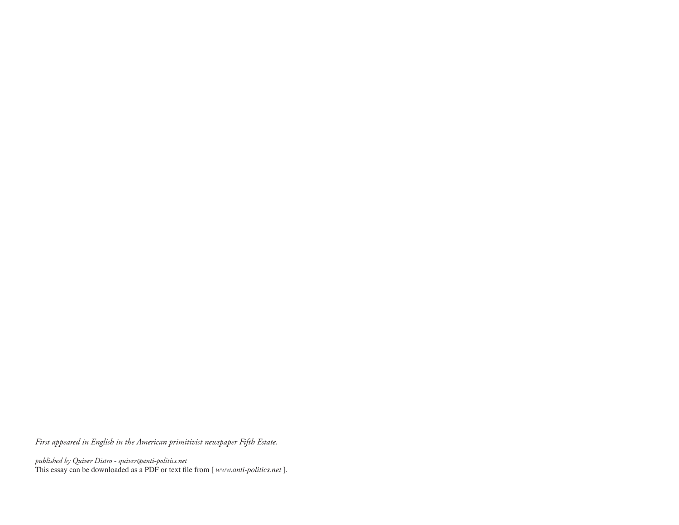*First appeared in English in the American primitivist newspaper Fifth Estate.*

*published by Quiver Distro - quiver@anti-politics.net* This essay can be downloaded as a PDF or text file from [ *www.anti-politics.net* ].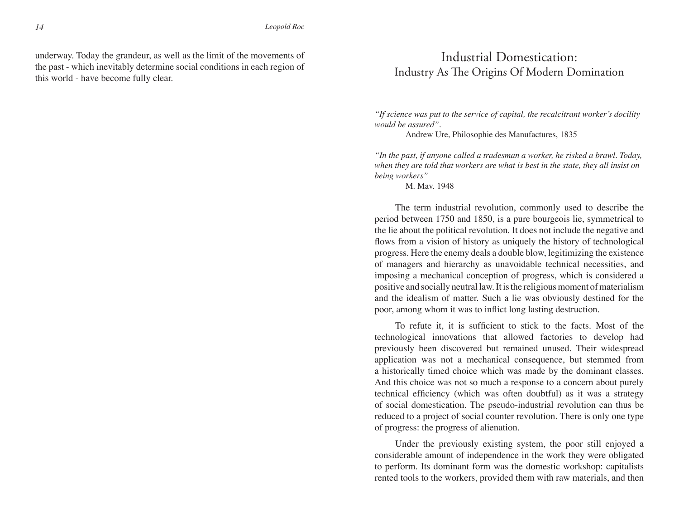underway. Today the grandeur, as well as the limit of the movements of the past - which inevitably determine social conditions in each region of this world - have become fully clear.

## Industrial Domestication: Industry As The Origins Of Modern Domination

*"If science was put to the service of capital, the recalcitrant worker's docility would be assured".*

Andrew Ure, Philosophie des Manufactures, 1835

*"In the past, if anyone called a tradesman a worker, he risked a brawl. Today, when they are told that workers are what is best in the state, they all insist on being workers"*

M. Mav. 1948

The term industrial revolution, commonly used to describe the period between 1750 and 1850, is a pure bourgeois lie, symmetrical to the lie about the political revolution. It does not include the negative and flows from a vision of history as uniquely the history of technological progress. Here the enemy deals a double blow, legitimizing the existence of managers and hierarchy as unavoidable technical necessities, and imposing a mechanical conception of progress, which is considered a positive and socially neutral law. It is the religious moment of materialism and the idealism of matter. Such a lie was obviously destined for the poor, among whom it was to inflict long lasting destruction.

To refute it, it is sufficient to stick to the facts. Most of the technological innovations that allowed factories to develop had previously been discovered but remained unused. Their widespread application was not a mechanical consequence, but stemmed from a historically timed choice which was made by the dominant classes. And this choice was not so much a response to a concern about purely technical efficiency (which was often doubtful) as it was a strategy of social domestication. The pseudo-industrial revolution can thus be reduced to a project of social counter revolution. There is only one type of progress: the progress of alienation.

Under the previously existing system, the poor still enjoyed a considerable amount of independence in the work they were obligated to perform. Its dominant form was the domestic workshop: capitalists rented tools to the workers, provided them with raw materials, and then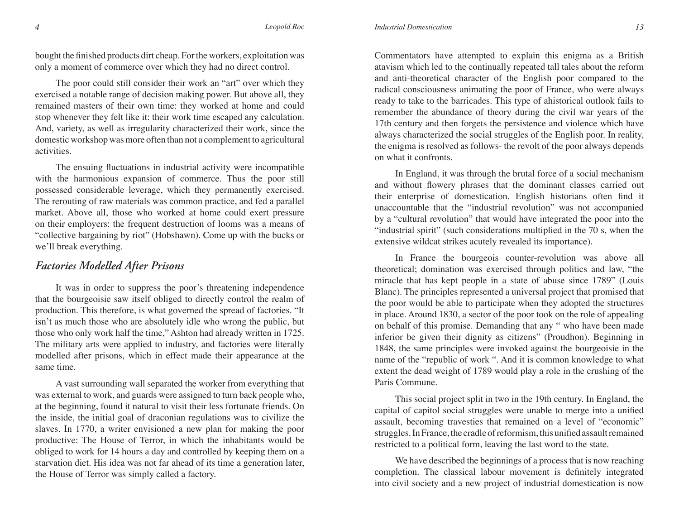bought the finished products dirt cheap. For the workers, exploitation was only a moment of commerce over which they had no direct control.

The poor could still consider their work an "art" over which they exercised a notable range of decision making power. But above all, they remained masters of their own time: they worked at home and could stop whenever they felt like it: their work time escaped any calculation. And, variety, as well as irregularity characterized their work, since the domestic workshop was more often than not a complement to agricultural activities.

The ensuing fluctuations in industrial activity were incompatible with the harmonious expansion of commerce. Thus the poor still possessed considerable leverage, which they permanently exercised. The rerouting of raw materials was common practice, and fed a parallel market. Above all, those who worked at home could exert pressure on their employers: the frequent destruction of looms was a means of "collective bargaining by riot" (Hobshawn). Come up with the bucks or we'll break everything.

#### *Factories Modelled After Prisons*

It was in order to suppress the poor's threatening independence that the bourgeoisie saw itself obliged to directly control the realm of production. This therefore, is what governed the spread of factories. "It isn't as much those who are absolutely idle who wrong the public, but those who only work half the time," Ashton had already written in 1725. The military arts were applied to industry, and factories were literally modelled after prisons, which in effect made their appearance at the same time.

A vast surrounding wall separated the worker from everything that was external to work, and guards were assigned to turn back people who, at the beginning, found it natural to visit their less fortunate friends. On the inside, the initial goal of draconian regulations was to civilize the slaves. In 1770, a writer envisioned a new plan for making the poor productive: The House of Terror, in which the inhabitants would be obliged to work for 14 hours a day and controlled by keeping them on a starvation diet. His idea was not far ahead of its time a generation later, the House of Terror was simply called a factory.

Commentators have attempted to explain this enigma as a British atavism which led to the continually repeated tall tales about the reform and anti-theoretical character of the English poor compared to the radical consciousness animating the poor of France, who were always ready to take to the barricades. This type of ahistorical outlook fails to remember the abundance of theory during the civil war years of the 17th century and then forgets the persistence and violence which have always characterized the social struggles of the English poor. In reality, the enigma is resolved as follows- the revolt of the poor always depends on what it confronts.

In England, it was through the brutal force of a social mechanism and without flowery phrases that the dominant classes carried out their enterprise of domestication. English historians often find it unaccountable that the "industrial revolution" was not accompanied by a "cultural revolution" that would have integrated the poor into the "industrial spirit" (such considerations multiplied in the 70 s, when the extensive wildcat strikes acutely revealed its importance).

In France the bourgeois counter-revolution was above all theoretical; domination was exercised through politics and law, "the miracle that has kept people in a state of abuse since 1789" (Louis Blanc). The principles represented a universal project that promised that the poor would be able to participate when they adopted the structures in place. Around 1830, a sector of the poor took on the role of appealing on behalf of this promise. Demanding that any " who have been made inferior be given their dignity as citizens" (Proudhon). Beginning in 1848, the same principles were invoked against the bourgeoisie in the name of the "republic of work ". And it is common knowledge to what extent the dead weight of 1789 would play a role in the crushing of the Paris Commune.

This social project split in two in the 19th century. In England, the capital of capitol social struggles were unable to merge into a unified assault, becoming travesties that remained on a level of "economic" struggles. In France, the cradle of reformism, this unified assault remained restricted to a political form, leaving the last word to the state.

We have described the beginnings of a process that is now reaching completion. The classical labour movement is definitely integrated into civil society and a new project of industrial domestication is now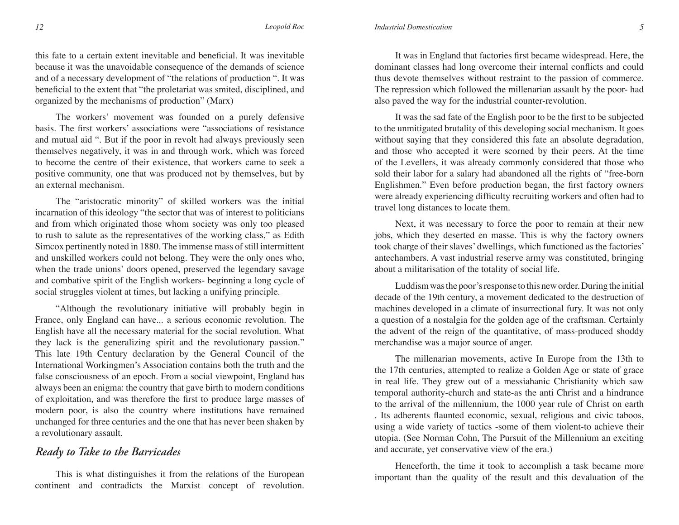this fate to a certain extent inevitable and beneficial. It was inevitable because it was the unavoidable consequence of the demands of science and of a necessary development of "the relations of production ". It was beneficial to the extent that "the proletariat was smited, disciplined, and organized by the mechanisms of production" (Marx)

The workers' movement was founded on a purely defensive basis. The first workers' associations were "associations of resistance and mutual aid ". But if the poor in revolt had always previously seen themselves negatively, it was in and through work, which was forced to become the centre of their existence, that workers came to seek a positive community, one that was produced not by themselves, but by an external mechanism.

The "aristocratic minority" of skilled workers was the initial incarnation of this ideology "the sector that was of interest to politicians and from which originated those whom society was only too pleased to rush to salute as the representatives of the working class," as Edith Simcox pertinently noted in 1880. The immense mass of still intermittent and unskilled workers could not belong. They were the only ones who, when the trade unions' doors opened, preserved the legendary savage and combative spirit of the English workers- beginning a long cycle of social struggles violent at times, but lacking a unifying principle.

"Although the revolutionary initiative will probably begin in France, only England can have... a serious economic revolution. The English have all the necessary material for the social revolution. What they lack is the generalizing spirit and the revolutionary passion." This late 19th Century declaration by the General Council of the International Workingmen's Association contains both the truth and the false consciousness of an epoch. From a social viewpoint, England has always been an enigma: the country that gave birth to modern conditions of exploitation, and was therefore the first to produce large masses of modern poor, is also the country where institutions have remained unchanged for three centuries and the one that has never been shaken by a revolutionary assault.

## *Ready to Take to the Barricades*

This is what distinguishes it from the relations of the European continent and contradicts the Marxist concept of revolution.

It was in England that factories first became widespread. Here, the dominant classes had long overcome their internal conflicts and could thus devote themselves without restraint to the passion of commerce. The repression which followed the millenarian assault by the poor- had also paved the way for the industrial counter-revolution.

It was the sad fate of the English poor to be the first to be subjected to the unmitigated brutality of this developing social mechanism. It goes without saying that they considered this fate an absolute degradation, and those who accepted it were scorned by their peers. At the time of the Levellers, it was already commonly considered that those who sold their labor for a salary had abandoned all the rights of "free-born Englishmen." Even before production began, the first factory owners were already experiencing difficulty recruiting workers and often had to travel long distances to locate them.

Next, it was necessary to force the poor to remain at their new jobs, which they deserted en masse. This is why the factory owners took charge of their slaves' dwellings, which functioned as the factories' antechambers. A vast industrial reserve army was constituted, bringing about a militarisation of the totality of social life.

Luddism was the poor's response to this new order. During the initial decade of the 19th century, a movement dedicated to the destruction of machines developed in a climate of insurrectional fury. It was not only a question of a nostalgia for the golden age of the craftsman. Certainly the advent of the reign of the quantitative, of mass-produced shoddy merchandise was a major source of anger.

The millenarian movements, active In Europe from the 13th to the 17th centuries, attempted to realize a Golden Age or state of grace in real life. They grew out of a messiahanic Christianity which saw temporal authority-church and state-as the anti Christ and a hindrance to the arrival of the millennium, the 1000 year rule of Christ on earth . Its adherents flaunted economic, sexual, religious and civic taboos, using a wide variety of tactics -some of them violent-to achieve their utopia. (See Norman Cohn, The Pursuit of the Millennium an exciting and accurate, yet conservative view of the era.)

Henceforth, the time it took to accomplish a task became more important than the quality of the result and this devaluation of the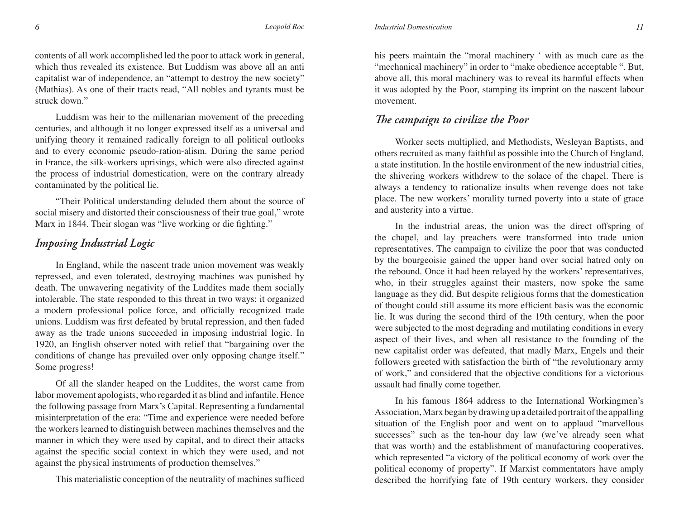*Industrial Domestication 11*

contents of all work accomplished led the poor to attack work in general, which thus revealed its existence. But Luddism was above all an anti capitalist war of independence, an "attempt to destroy the new society" (Mathias). As one of their tracts read, "All nobles and tyrants must be struck down."

Luddism was heir to the millenarian movement of the preceding centuries, and although it no longer expressed itself as a universal and unifying theory it remained radically foreign to all political outlooks and to every economic pseudo-ration-alism. During the same period in France, the silk-workers uprisings, which were also directed against the process of industrial domestication, were on the contrary already contaminated by the political lie.

"Their Political understanding deluded them about the source of social misery and distorted their consciousness of their true goal," wrote Marx in 1844. Their slogan was "live working or die fighting."

# *Imposing Industrial Logic*

In England, while the nascent trade union movement was weakly repressed, and even tolerated, destroying machines was punished by death. The unwavering negativity of the Luddites made them socially intolerable. The state responded to this threat in two ways: it organized a modern professional police force, and officially recognized trade unions. Luddism was first defeated by brutal repression, and then faded away as the trade unions succeeded in imposing industrial logic. In 1920, an English observer noted with relief that "bargaining over the conditions of change has prevailed over only opposing change itself." Some progress!

Of all the slander heaped on the Luddites, the worst came from labor movement apologists, who regarded it as blind and infantile. Hence the following passage from Marx's Capital. Representing a fundamental misinterpretation of the era: "Time and experience were needed before the workers learned to distinguish between machines themselves and the manner in which they were used by capital, and to direct their attacks against the specific social context in which they were used, and not against the physical instruments of production themselves."

This materialistic conception of the neutrality of machines sufficed

his peers maintain the "moral machinery ' with as much care as the "mechanical machinery" in order to "make obedience acceptable ". But, above all, this moral machinery was to reveal its harmful effects when it was adopted by the Poor, stamping its imprint on the nascent labour movement.

### *The campaign to civilize the Poor*

Worker sects multiplied, and Methodists, Wesleyan Baptists, and others recruited as many faithful as possible into the Church of England, a state institution. In the hostile environment of the new industrial cities, the shivering workers withdrew to the solace of the chapel. There is always a tendency to rationalize insults when revenge does not take place. The new workers' morality turned poverty into a state of grace and austerity into a virtue.

In the industrial areas, the union was the direct offspring of the chapel, and lay preachers were transformed into trade union representatives. The campaign to civilize the poor that was conducted by the bourgeoisie gained the upper hand over social hatred only on the rebound. Once it had been relayed by the workers' representatives, who, in their struggles against their masters, now spoke the same language as they did. But despite religious forms that the domestication of thought could still assume its more efficient basis was the economic lie. It was during the second third of the 19th century, when the poor were subjected to the most degrading and mutilating conditions in every aspect of their lives, and when all resistance to the founding of the new capitalist order was defeated, that madly Marx, Engels and their followers greeted with satisfaction the birth of "the revolutionary army of work," and considered that the objective conditions for a victorious assault had finally come together.

In his famous 1864 address to the International Workingmen's Association, Marx began by drawing up a detailed portrait of the appalling situation of the English poor and went on to applaud "marvellous successes" such as the ten-hour day law (we've already seen what that was worth) and the establishment of manufacturing cooperatives, which represented "a victory of the political economy of work over the political economy of property". If Marxist commentators have amply described the horrifying fate of 19th century workers, they consider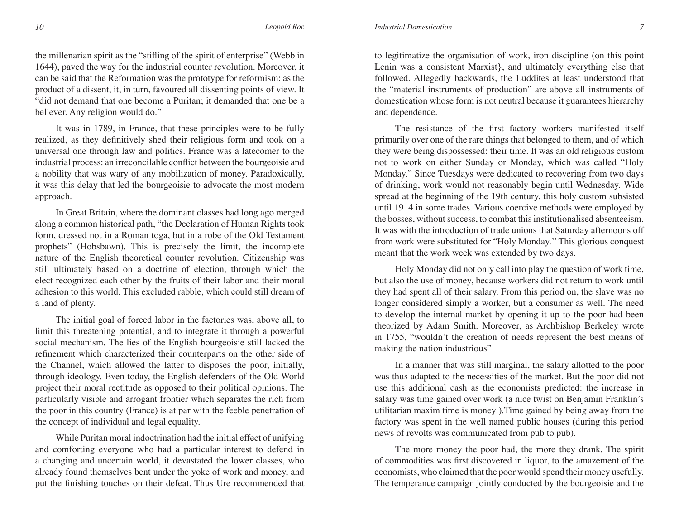*Industrial Domestication 7*

the millenarian spirit as the "stifling of the spirit of enterprise" (Webb in 1644), paved the way for the industrial counter revolution. Moreover, it can be said that the Reformation was the prototype for reformism: as the product of a dissent, it, in turn, favoured all dissenting points of view. It "did not demand that one become a Puritan; it demanded that one be a believer. Any religion would do."

It was in 1789, in France, that these principles were to be fully realized, as they definitively shed their religious form and took on a universal one through law and politics. France was a latecomer to the industrial process: an irreconcilable conflict between the bourgeoisie and a nobility that was wary of any mobilization of money. Paradoxically, it was this delay that led the bourgeoisie to advocate the most modern approach.

In Great Britain, where the dominant classes had long ago merged along a common historical path, "the Declaration of Human Rights took form, dressed not in a Roman toga, but in a robe of the Old Testament prophets" (Hobsbawn). This is precisely the limit, the incomplete nature of the English theoretical counter revolution. Citizenship was still ultimately based on a doctrine of election, through which the elect recognized each other by the fruits of their labor and their moral adhesion to this world. This excluded rabble, which could still dream of a land of plenty.

The initial goal of forced labor in the factories was, above all, to limit this threatening potential, and to integrate it through a powerful social mechanism. The lies of the English bourgeoisie still lacked the refinement which characterized their counterparts on the other side of the Channel, which allowed the latter to disposes the poor, initially, through ideology. Even today, the English defenders of the Old World project their moral rectitude as opposed to their political opinions. The particularly visible and arrogant frontier which separates the rich from the poor in this country (France) is at par with the feeble penetration of the concept of individual and legal equality.

While Puritan moral indoctrination had the initial effect of unifying and comforting everyone who had a particular interest to defend in a changing and uncertain world, it devastated the lower classes, who already found themselves bent under the yoke of work and money, and put the finishing touches on their defeat. Thus Ure recommended that to legitimatize the organisation of work, iron discipline (on this point Lenin was a consistent Marxist}, and ultimately everything else that followed. Allegedly backwards, the Luddites at least understood that the "material instruments of production" are above all instruments of domestication whose form is not neutral because it guarantees hierarchy and dependence.

The resistance of the first factory workers manifested itself primarily over one of the rare things that belonged to them, and of which they were being dispossessed: their time. It was an old religious custom not to work on either Sunday or Monday, which was called "Holy Monday." Since Tuesdays were dedicated to recovering from two days of drinking, work would not reasonably begin until Wednesday. Wide spread at the beginning of the 19th century, this holy custom subsisted until 1914 in some trades. Various coercive methods were employed by the bosses, without success, to combat this institutionalised absenteeism. It was with the introduction of trade unions that Saturday afternoons off from work were substituted for "Holy Monday.'' This glorious conquest meant that the work week was extended by two days.

Holy Monday did not only call into play the question of work time, but also the use of money, because workers did not return to work until they had spent all of their salary. From this period on, the slave was no longer considered simply a worker, but a consumer as well. The need to develop the internal market by opening it up to the poor had been theorized by Adam Smith. Moreover, as Archbishop Berkeley wrote in 1755, "wouldn't the creation of needs represent the best means of making the nation industrious"

In a manner that was still marginal, the salary allotted to the poor was thus adapted to the necessities of the market. But the poor did not use this additional cash as the economists predicted: the increase in salary was time gained over work (a nice twist on Benjamin Franklin's utilitarian maxim time is money ).Time gained by being away from the factory was spent in the well named public houses (during this period news of revolts was communicated from pub to pub).

The more money the poor had, the more they drank. The spirit of commodities was first discovered in liquor, to the amazement of the economists, who claimed that the poor would spend their money usefully. The temperance campaign jointly conducted by the bourgeoisie and the